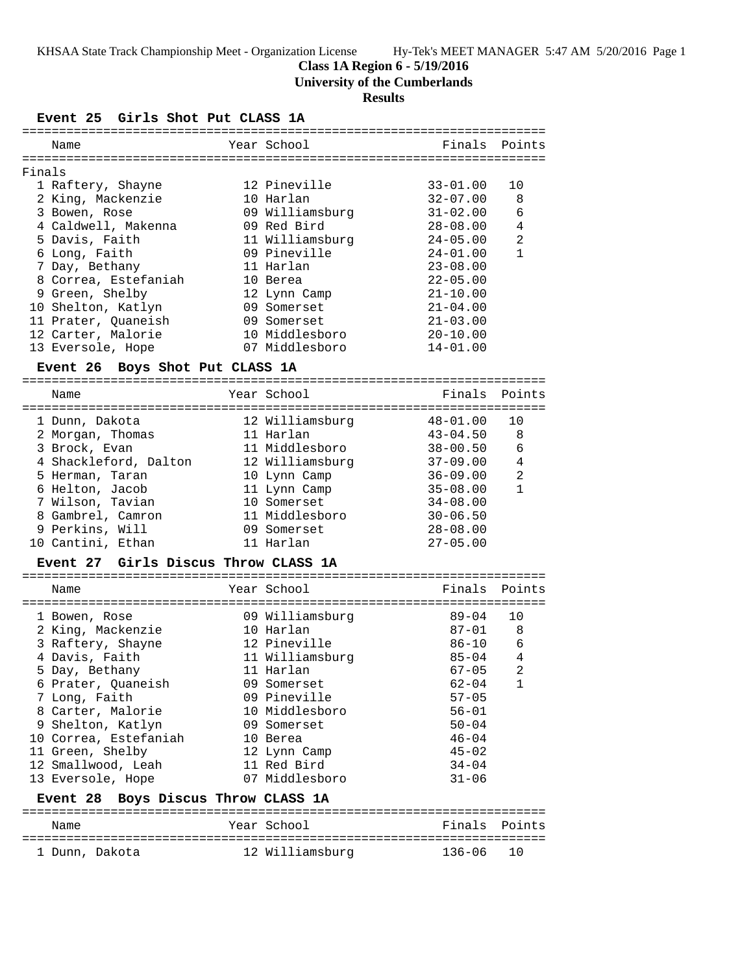KHSAA State Track Championship Meet - Organization License Hy-Tek's MEET MANAGER 5:47 AM 5/20/2016 Page 1

### **Class 1A Region 6 - 5/19/2016**

**University of the Cumberlands**

## **Results**

#### **Event 25 Girls Shot Put CLASS 1A**

|        | Name                                          |  | Year School     |              | Finals Points  |
|--------|-----------------------------------------------|--|-----------------|--------------|----------------|
|        |                                               |  |                 |              |                |
| Finals |                                               |  |                 |              |                |
|        | 1 Raftery, Shayne                             |  | 12 Pineville    | $33 - 01.00$ | 10             |
|        | 2 King, Mackenzie                             |  | 10 Harlan       | $32 - 07.00$ | 8              |
|        | 3 Bowen, Rose                                 |  | 09 Williamsburg | $31 - 02.00$ | 6              |
|        | 4 Caldwell, Makenna                           |  | 09 Red Bird     | $28 - 08.00$ | 4              |
|        | 5 Davis, Faith                                |  | 11 Williamsburg | $24 - 05.00$ | 2              |
|        | 6 Long, Faith                                 |  | 09 Pineville    | $24 - 01.00$ | $\mathbf{1}$   |
|        | 7 Day, Bethany                                |  | 11 Harlan       | $23 - 08.00$ |                |
|        | 8 Correa, Estefaniah                          |  | 10 Berea        | $22 - 05.00$ |                |
|        | 9 Green, Shelby                               |  | 12 Lynn Camp    | $21 - 10.00$ |                |
|        | 10 Shelton, Katlyn                            |  | 09 Somerset     | $21 - 04.00$ |                |
|        | 11 Prater, Quaneish                           |  | 09 Somerset     | $21 - 03.00$ |                |
|        | 12 Carter, Malorie                            |  | 10 Middlesboro  | $20 - 10.00$ |                |
|        | 13 Eversole, Hope                             |  | 07 Middlesboro  | $14 - 01.00$ |                |
|        | Event 26 Boys Shot Put CLASS 1A               |  |                 |              |                |
|        |                                               |  |                 |              |                |
|        | Name                                          |  | Year School     | Finals       | Points         |
|        | 1 Dunn, Dakota                                |  | 12 Williamsburg | $48 - 01.00$ | 10             |
|        | 2 Morgan, Thomas                              |  | 11 Harlan       | $43 - 04.50$ | 8              |
|        | 3 Brock, Evan                                 |  | 11 Middlesboro  | $38 - 00.50$ | 6              |
|        | 4 Shackleford, Dalton                         |  | 12 Williamsburg | $37 - 09.00$ | 4              |
|        | 5 Herman, Taran                               |  | 10 Lynn Camp    | $36 - 09.00$ | 2              |
|        | 6 Helton, Jacob                               |  | 11 Lynn Camp    | $35 - 08.00$ | $\mathbf{1}$   |
|        | 7 Wilson, Tavian                              |  | 10 Somerset     | $34 - 08.00$ |                |
|        | 8 Gambrel, Camron                             |  | 11 Middlesboro  | $30 - 06.50$ |                |
|        | 9 Perkins, Will                               |  | 09 Somerset     | $28 - 08.00$ |                |
|        | 10 Cantini, Ethan                             |  | 11 Harlan       | $27 - 05.00$ |                |
|        | Event 27 Girls Discus Throw CLASS 1A          |  |                 |              |                |
|        |                                               |  |                 |              |                |
|        | Name                                          |  | Year School     | Finals       | Points         |
|        | 1 Bowen, Rose                                 |  | 09 Williamsburg | 89-04        | 10             |
|        | 2 King, Mackenzie                             |  | 10 Harlan       | $87 - 01$    | 8              |
|        | 3 Raftery, Shayne                             |  | 12 Pineville    | $86 - 10$    | 6              |
|        | 4 Davis, Faith                                |  | 11 Williamsburg | $85 - 04$    | 4              |
|        | 5 Day, Bethany                                |  | 11 Harlan       | $67 - 05$    | $\overline{2}$ |
|        | 6 Prater, Quaneish                            |  | 09 Somerset     | $62 - 04$    | 1              |
|        | 7 Long, Faith                                 |  | 09 Pineville    | $57 - 05$    |                |
|        | 8 Carter, Malorie                             |  | 10 Middlesboro  | $56 - 01$    |                |
|        | 9 Shelton, Katlyn                             |  | 09 Somerset     | $50 - 04$    |                |
|        | 10 Correa, Estefaniah                         |  | 10 Berea        | $46 - 04$    |                |
|        | 11 Green, Shelby                              |  | 12 Lynn Camp    | $45 - 02$    |                |
|        | 12 Smallwood, Leah                            |  | 11 Red Bird     | $34 - 04$    |                |
|        | 13 Eversole, Hope                             |  | 07 Middlesboro  | $31 - 06$    |                |
|        | Boys Discus Throw CLASS 1A<br><b>Event 28</b> |  |                 |              |                |
|        | Name                                          |  | Year School     | Finals       | Points         |
|        |                                               |  |                 |              |                |
|        | 1 Dunn, Dakota                                |  | 12 Williamsburg | $136 - 06$   | 10             |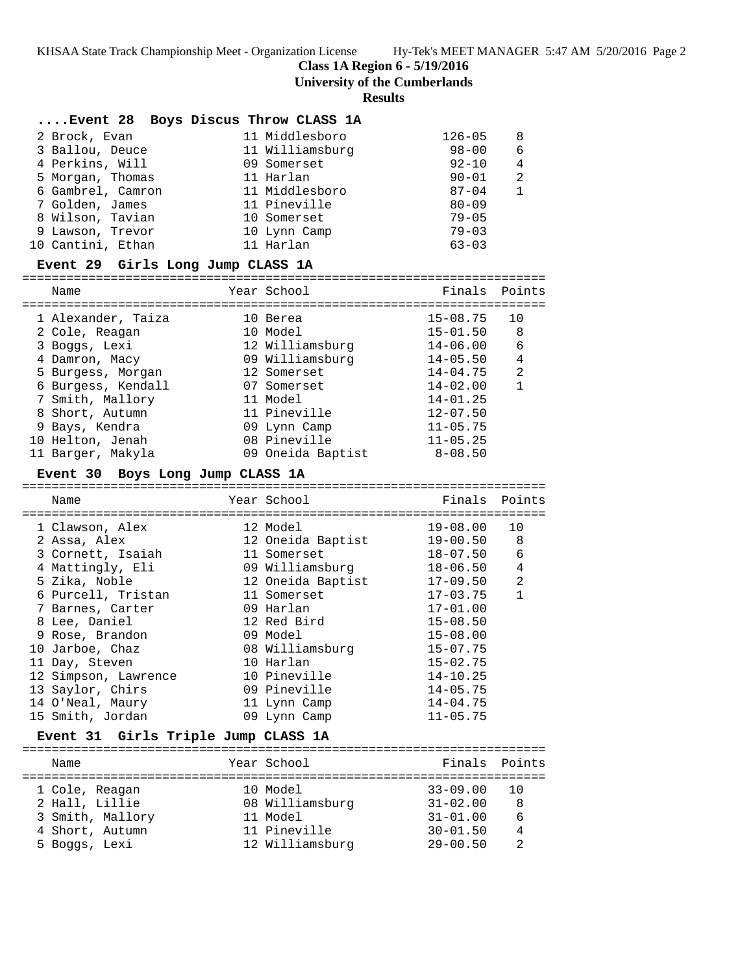**Class 1A Region 6 - 5/19/2016**

**University of the Cumberlands**

### **Results**

| Event 28 Boys Discus Throw CLASS 1A |                 |            |   |
|-------------------------------------|-----------------|------------|---|
| 2 Brock, Evan                       | 11 Middlesboro  | $126 - 05$ | 8 |
| 3 Ballou, Deuce                     | 11 Williamsburg | $98 - 00$  | 6 |
| 4 Perkins, Will                     | 09 Somerset     | $92 - 10$  | 4 |
| 5 Morgan, Thomas                    | 11 Harlan       | $90 - 01$  | 2 |
| 6 Gambrel, Camron                   | 11 Middlesboro  | $87 - 04$  |   |
| 7 Golden, James                     | 11 Pineville    | $80 - 09$  |   |
| 8 Wilson, Tavian                    | 10 Somerset     | $79 - 05$  |   |
| 9 Lawson, Trevor                    | 10 Lynn Camp    | $79 - 03$  |   |
| 10 Cantini, Ethan                   | 11 Harlan       | $63 - 03$  |   |

#### **Event 29 Girls Long Jump CLASS 1A**

======================================================================= Finale Doints

| Name               | rear pchool       | r Tugt 2     | POINCS |
|--------------------|-------------------|--------------|--------|
| 1 Alexander, Taiza | 10 Berea          | $15 - 08.75$ | 10     |
| 2 Cole, Reagan     | 10 Model          | $15 - 01.50$ | 8      |
| 3 Boggs, Lexi      | 12 Williamsburg   | $14 - 06.00$ | 6      |
| 4 Damron, Macy     | 09 Williamsburg   | $14 - 05.50$ | 4      |
| 5 Burgess, Morgan  | 12 Somerset       | $14 - 04.75$ | 2      |
| 6 Burgess, Kendall | 07 Somerset       | $14 - 02.00$ |        |
| 7 Smith, Mallory   | 11 Model          | $14 - 01.25$ |        |
| 8 Short, Autumn    | 11 Pineville      | $12 - 07.50$ |        |
| 9 Bays, Kendra     | 09 Lynn Camp      | $11 - 05.75$ |        |
| 10 Helton, Jenah   | 08 Pineville      | $11 - 05.25$ |        |
| 11 Barger, Makyla  | 09 Oneida Baptist | $8 - 08.50$  |        |

#### **Event 30 Boys Long Jump CLASS 1A**

| Name                 | Year School       | Finals Points |                |
|----------------------|-------------------|---------------|----------------|
|                      |                   |               |                |
| 1 Clawson, Alex      | 12 Model          | 19-08.00      | 10             |
| 2 Assa, Alex         | 12 Oneida Baptist | 19-00.50      | 8              |
| 3 Cornett, Isaiah    | 11 Somerset       | $18 - 07.50$  | 6              |
| 4 Mattingly, Eli     | 09 Williamsburg   | $18 - 06.50$  | $\overline{4}$ |
| 5 Zika, Noble        | 12 Oneida Baptist | 17-09.50      | 2              |
| 6 Purcell, Tristan   | 11 Somerset       | $17 - 03.75$  | $\mathbf{1}$   |
| 7 Barnes, Carter     | 09 Harlan         | $17 - 01.00$  |                |
| 8 Lee, Daniel        | 12 Red Bird       | $15 - 08.50$  |                |
| 9 Rose, Brandon      | 09 Model          | $15 - 08.00$  |                |
| 10 Jarboe, Chaz      | 08 Williamsburg   | $15 - 07.75$  |                |
| 11 Day, Steven       | 10 Harlan         | $15 - 02.75$  |                |
| 12 Simpson, Lawrence | 10 Pineville      | $14 - 10.25$  |                |
| 13 Saylor, Chirs     | 09 Pineville      | $14 - 05.75$  |                |
| 14 O'Neal, Maury     | 11 Lynn Camp      | $14 - 04.75$  |                |
| 15 Smith, Jordan     | 09 Lynn Camp      | $11 - 05.75$  |                |
|                      |                   |               |                |

#### **Event 31 Girls Triple Jump CLASS 1A**

| Name             | Year School     | Finals Points |    |
|------------------|-----------------|---------------|----|
| 1 Cole, Reagan   | 10 Model        | $33 - 09.00$  | 10 |
| 2 Hall, Lillie   | 08 Williamsburg | $31 - 02.00$  | 8  |
| 3 Smith, Mallory | 11 Model        | $31 - 01.00$  | 6  |
| 4 Short, Autumn  | 11 Pineville    | $30 - 01.50$  |    |
| 5 Boggs, Lexi    | 12 Williamsburg | $29 - 00.50$  | っ  |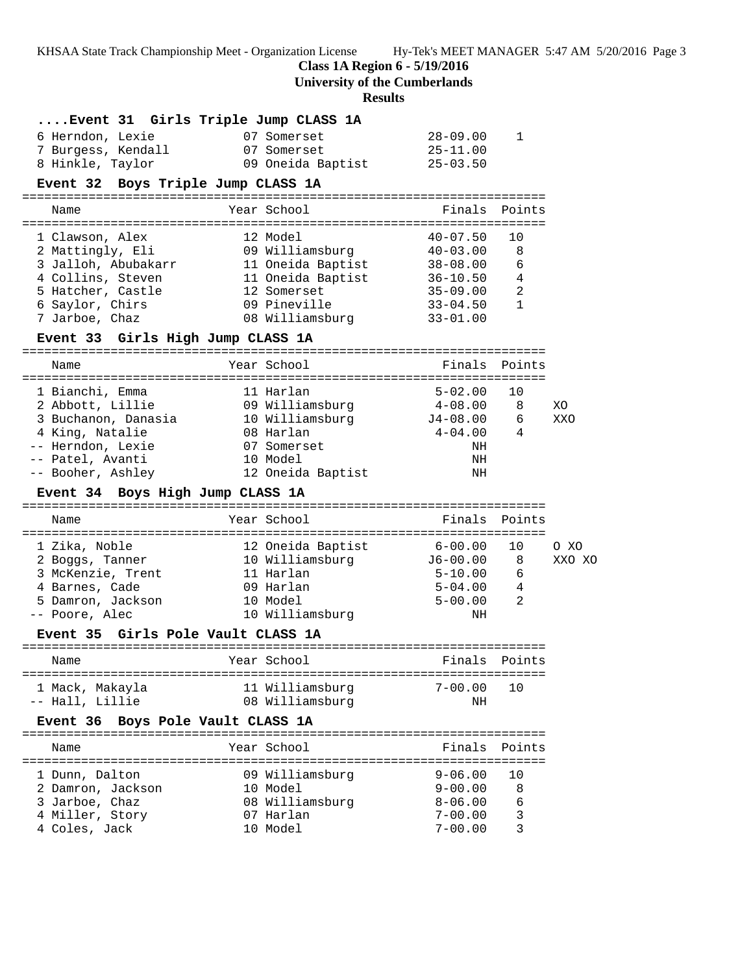KHSAA State Track Championship Meet - Organization License Hy-Tek's MEET MANAGER 5:47 AM 5/20/2016 Page 3

**Class 1A Region 6 - 5/19/2016**

**University of the Cumberlands**

# **Results**

|                                     | Event 31 Girls Triple Jump CLASS 1A              |                                 |        |
|-------------------------------------|--------------------------------------------------|---------------------------------|--------|
| 6 Herndon, Lexie                    | 07 Somerset                                      | 28-09.00<br>1                   |        |
| 7 Burgess, Kendall                  | 07 Somerset                                      | $25 - 11.00$                    |        |
| 8 Hinkle, Taylor                    | 09 Oneida Baptist                                | 25-03.50                        |        |
| Event 32 Boys Triple Jump CLASS 1A  |                                                  |                                 |        |
|                                     |                                                  |                                 |        |
| Name                                | Year School                                      | Finals Points                   |        |
| 1 Clawson, Alex                     | 12 Model                                         | $40 - 07.50$<br>10              |        |
| 2 Mattingly, Eli                    | 09 Williamsburg 40-03.00                         | 8                               |        |
|                                     | 3 Jalloh, Abubakarr 11 Oneida Baptist 38-08.00   | 6                               |        |
|                                     | 4 Collins, Steven 11 Oneida Baptist 36-10.50     | $\overline{4}$                  |        |
| 5 Hatcher, Castle                   |                                                  | $\overline{c}$<br>35-09.00      |        |
| 6 Saylor, Chirs                     | 12 Somerset<br>09 Pineville                      | $\mathbf{1}$<br>33-04.50        |        |
| 7 Jarboe, Chaz                      | 08 Williamsburg                                  | $33 - 01.00$                    |        |
| Event 33 Girls High Jump CLASS 1A   |                                                  |                                 |        |
|                                     |                                                  |                                 |        |
| Name                                | Year School                                      | Finals Points                   |        |
|                                     |                                                  |                                 |        |
| 1 Bianchi, Emma                     | 11 Harlan                                        | $5 - 02.00$<br>10               |        |
| 2 Abbott, Lillie                    | 09 Williamsburg   4-08.00 8                      |                                 | XO     |
|                                     | 3 Buchanon, Danasia $10$ Williamsburg $J4-08.00$ | - 6                             | XXO    |
| 4 King, Natalie                     | 08 Harlan                                        | $4 - 04.00$<br>4                |        |
| -- Herndon, Lexie                   | 07 Somerset                                      | ΝH                              |        |
| -- Patel, Avanti                    | 10 Model                                         | ΝH                              |        |
| -- Booher, Ashley                   | 12 Oneida Baptist                                | NH                              |        |
|                                     |                                                  |                                 |        |
| Event 34 Boys High Jump CLASS 1A    |                                                  |                                 |        |
| Name                                | Year School                                      | Finals Points                   |        |
|                                     |                                                  |                                 |        |
| 1 Zika, Noble                       | 12 Oneida Baptist                                | $6 - 00.00$<br>10               | O XO   |
| 2 Boggs, Tanner                     | 10 Williamsburg 56-00.00                         | 8                               | XXO XO |
| 3 McKenzie, Trent                   | 11 Harlan                                        | $5 - 10.00$<br>6                |        |
| 4 Barnes, Cade                      | 09 Harlan                                        | $\overline{4}$<br>5-04.00       |        |
| 5 Damron, Jackson                   | 10 Model                                         | -2<br>$5 - 00.00$               |        |
| -- Poore, Alec                      | 10 Williamsburg                                  | NH                              |        |
| <b>Event 35</b>                     | Girls Pole Vault CLASS 1A                        |                                 |        |
| Name                                | Year School                                      | Finals<br>Points                |        |
| 1 Mack, Makayla                     | 11 Williamsburg                                  | $7 - 00.00$<br>10               |        |
| -- Hall, Lillie                     | 08 Williamsburg                                  | NH                              |        |
| Event 36 Boys Pole Vault CLASS 1A   |                                                  |                                 |        |
|                                     |                                                  |                                 |        |
| Name                                | Year School                                      | Finals<br>Points                |        |
| 1 Dunn, Dalton                      |                                                  | $9 - 06.00$<br>10               |        |
|                                     | 09 Williamsburg<br>10 Model                      | $9 - 00.00$<br>8                |        |
| 2 Damron, Jackson<br>3 Jarboe, Chaz |                                                  | $8 - 06.00$<br>6                |        |
|                                     | 08 Williamsburg<br>07 Harlan                     | $7 - 00.00$                     |        |
| 4 Miller, Story<br>4 Coles, Jack    | 10 Model                                         | $\mathsf 3$<br>3<br>$7 - 00.00$ |        |